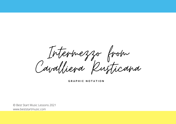Intermezzo from Cavalliera Rusticana

**G R A P H I C N O T A T I O N**

© Best Start Music Lessons 2021 www.beststartmusic.com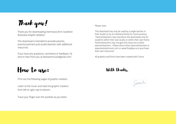$\eta$ ank you!

Thank you for downloading *Intermezzo from Cavalleria Rusticana Graphic Notation.*

This download is intended to provide parents, practice partners and studio teachers with additional resources.

If you have any questions, comments or feedback, I'd love to hear from you at beststartmusic@gmail.com!

## How to use:

Print out the following pages of graphic notation.

Listen to the music and read the graphic notation from left to right, top to bottom.

Trace your finger over the symbols as you listen.

This download may only be used by a single teacher in their studio or by an individual family for home practice. Parents/teachers may reproduce the downloads only for students within their own studio or within their own home. Parents/teachers may not give this resource to other parents/teachers. Please direct other parents/teachers to www.beststartmusic.com or www.fluteplay.ca to purchase their own resources!

All graphics and fonts have been created with Canva.

With thanks,

Savah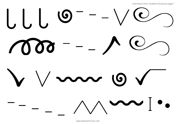Intermezzo from Cavalleria RUsticana page 1



www.beststartmusic.com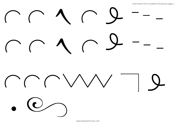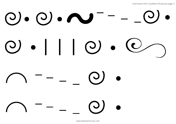## $\left( 0\right) \bullet \left( 0\right) \bullet \left( 0\right) ^{-1}-.$  $\begin{array}{c|c} \begin{array}{ccc} \text{\textcolor{blue}{\bullet}} & \text{\textcolor{blue}{\bullet}} & \text{\textcolor{blue}{\bullet}} \end{array} & \begin{array}{c} \text{\textcolor{blue}{\bullet}} & \text{\textcolor{blue}{\bullet}} & \text{\textcolor{blue}{\bullet}} \end{array} \end{array}$  $\mathbf{C}_{\diagup}$

www.beststartmusic.com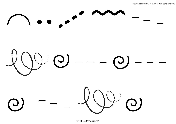Intermezzo from Cavalleria RUsticana page 4



## 



www.beststartmusic.com